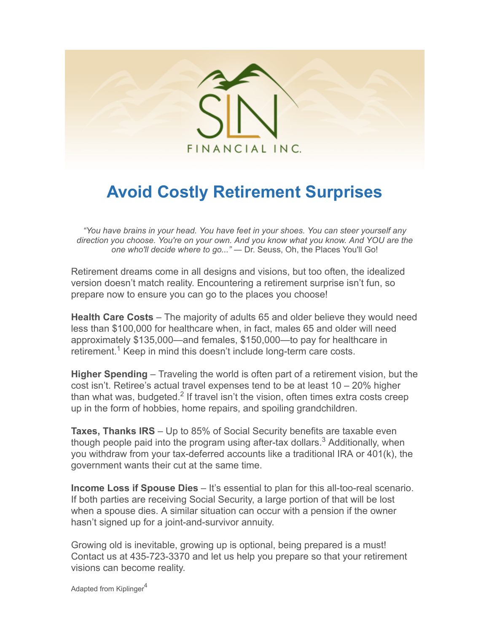

## **Avoid Costly Retirement Surprises**

*"You have brains in your head. You have feet in your shoes. You can steer yourself any direction you choose. You're on your own. And you know what you know. And YOU are the one who'll decide where to go..."* ― Dr. Seuss, Oh, the Places You'll Go!

Retirement dreams come in all designs and visions, but too often, the idealized version doesn't match reality. Encountering a retirement surprise isn't fun, so prepare now to ensure you can go to the places you choose!

**Health Care Costs** – The majority of adults 65 and older believe they would need less than \$100,000 for healthcare when, in fact, males 65 and older will need approximately \$135,000—and females, \$150,000—to pay for healthcare in retirement.<sup>1</sup> Keep in mind this doesn't include long-term care costs.

**Higher Spending** – Traveling the world is often part of a retirement vision, but the cost isn't. Retiree's actual travel expenses tend to be at least 10 – 20% higher than what was, budgeted. $^2$  If travel isn't the vision, often times extra costs creep up in the form of hobbies, home repairs, and spoiling grandchildren.

**Taxes, Thanks IRS** – Up to 85% of Social Security benefits are taxable even though people paid into the program using after-tax dollars. $^3$  Additionally, when you withdraw from your tax-deferred accounts like a traditional IRA or 401(k), the government wants their cut at the same time.

**Income Loss if Spouse Dies** – It's essential to plan for this all-too-real scenario. If both parties are receiving Social Security, a large portion of that will be lost when a spouse dies. A similar situation can occur with a pension if the owner hasn't signed up for a joint-and-survivor annuity.

Growing old is inevitable, growing up is optional, being prepared is a must! Contact us at 435-723-3370 and let us help you prepare so that your retirement visions can become reality.

```
Adapted from Kiplinger<sup>4</sup>
```